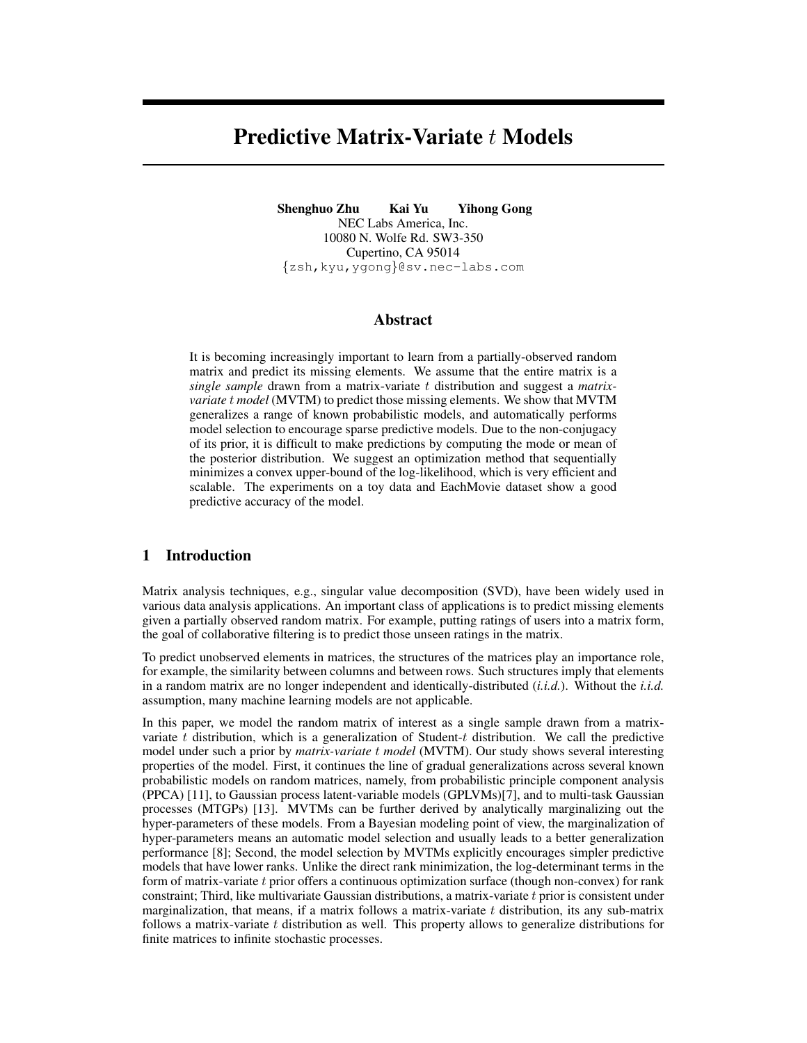# Predictive Matrix-Variate t Models

Shenghuo Zhu Kai Yu Yihong Gong NEC Labs America, Inc. 10080 N. Wolfe Rd. SW3-350 Cupertino, CA 95014 {zsh,kyu,ygong}@sv.nec-labs.com

## Abstract

It is becoming increasingly important to learn from a partially-observed random matrix and predict its missing elements. We assume that the entire matrix is a *single sample* drawn from a matrix-variate t distribution and suggest a *matrixvariate* t *model* (MVTM) to predict those missing elements. We show that MVTM generalizes a range of known probabilistic models, and automatically performs model selection to encourage sparse predictive models. Due to the non-conjugacy of its prior, it is difficult to make predictions by computing the mode or mean of the posterior distribution. We suggest an optimization method that sequentially minimizes a convex upper-bound of the log-likelihood, which is very efficient and scalable. The experiments on a toy data and EachMovie dataset show a good predictive accuracy of the model.

# 1 Introduction

Matrix analysis techniques, e.g., singular value decomposition (SVD), have been widely used in various data analysis applications. An important class of applications is to predict missing elements given a partially observed random matrix. For example, putting ratings of users into a matrix form, the goal of collaborative filtering is to predict those unseen ratings in the matrix.

To predict unobserved elements in matrices, the structures of the matrices play an importance role, for example, the similarity between columns and between rows. Such structures imply that elements in a random matrix are no longer independent and identically-distributed (*i.i.d.*). Without the *i.i.d.* assumption, many machine learning models are not applicable.

In this paper, we model the random matrix of interest as a single sample drawn from a matrixvariate  $t$  distribution, which is a generalization of Student- $t$  distribution. We call the predictive model under such a prior by *matrix-variate* t *model* (MVTM). Our study shows several interesting properties of the model. First, it continues the line of gradual generalizations across several known probabilistic models on random matrices, namely, from probabilistic principle component analysis (PPCA) [11], to Gaussian process latent-variable models (GPLVMs)[7], and to multi-task Gaussian processes (MTGPs) [13]. MVTMs can be further derived by analytically marginalizing out the hyper-parameters of these models. From a Bayesian modeling point of view, the marginalization of hyper-parameters means an automatic model selection and usually leads to a better generalization performance [8]; Second, the model selection by MVTMs explicitly encourages simpler predictive models that have lower ranks. Unlike the direct rank minimization, the log-determinant terms in the form of matrix-variate  $t$  prior offers a continuous optimization surface (though non-convex) for rank constraint; Third, like multivariate Gaussian distributions, a matrix-variate  $t$  prior is consistent under marginalization, that means, if a matrix follows a matrix-variate  $t$  distribution, its any sub-matrix follows a matrix-variate  $t$  distribution as well. This property allows to generalize distributions for finite matrices to infinite stochastic processes.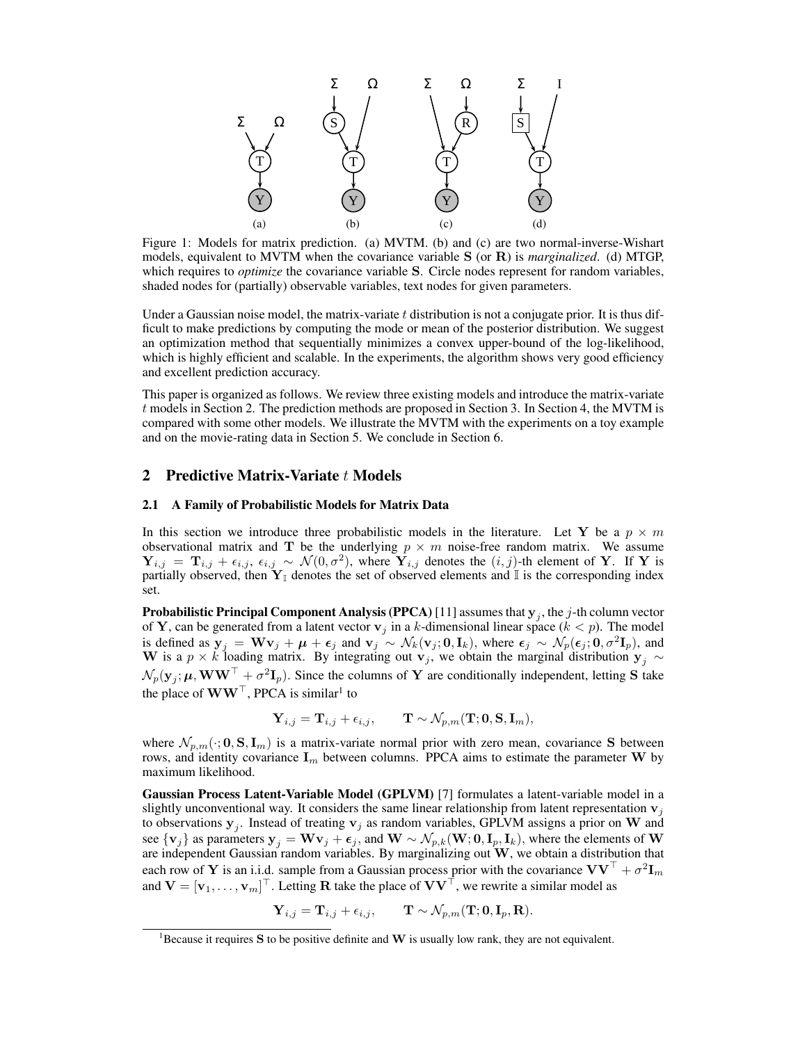

Figure 1: Models for matrix prediction. (a) MVTM. (b) and (c) are two normal-inverse-Wishart models, equivalent to MVTM when the covariance variable S (or R) is *marginalized*. (d) MTGP, which requires to *optimize* the covariance variable S. Circle nodes represent for random variables, shaded nodes for (partially) observable variables, text nodes for given parameters.

Under a Gaussian noise model, the matrix-variate  $t$  distribution is not a conjugate prior. It is thus difficult to make predictions by computing the mode or mean of the posterior distribution. We suggest an optimization method that sequentially minimizes a convex upper-bound of the log-likelihood, which is highly efficient and scalable. In the experiments, the algorithm shows very good efficiency and excellent prediction accuracy.

This paper is organized as follows. We review three existing models and introduce the matrix-variate t models in Section 2. The prediction methods are proposed in Section 3. In Section 4, the MVTM is compared with some other models. We illustrate the MVTM with the experiments on a toy example and on the movie-rating data in Section 5. We conclude in Section 6.

## 2 Predictive Matrix-Variate t Models

#### 2.1 A Family of Probabilistic Models for Matrix Data

In this section we introduce three probabilistic models in the literature. Let Y be a  $p \times m$ observational matrix and T be the underlying  $p \times m$  noise-free random matrix. We assume  $Y_{i,j} = \mathbf{T}_{i,j} + \epsilon_{i,j}, \epsilon_{i,j} \sim \mathcal{N}(0, \sigma^2)$ , where  $\mathbf{Y}_{i,j}$  denotes the  $(i, j)$ -th element of Y. If Y is partially observed, then  $Y_{\mathbb{I}}$  denotes the set of observed elements and  $\mathbb{I}$  is the corresponding index set.

**Probabilistic Principal Component Analysis (PPCA)** [11] assumes that  $\mathbf{y}_j$ , the  $j$ -th column vector of Y, can be generated from a latent vector  $v_j$  in a k-dimensional linear space ( $k < p$ ). The model is defined as  $y_j = Wv_j + \mu + \epsilon_j$  and  $v_j \sim \mathcal{N}_k(v_j; 0, I_k)$ , where  $\epsilon_j \sim \mathcal{N}_p(\epsilon_j; 0, \sigma^2 I_p)$ , and W is a  $p \times k$  loading matrix. By integrating out  $v_j$ , we obtain the marginal distribution  $y_j \sim$  $\mathcal{N}_p(\mathbf{y}_j; \mu, \mathbf{WW}^\top + \sigma^2 \mathbf{I}_p)$ . Since the columns of Y are conditionally independent, letting S take the place of  $WW^{\top}$ , PPCA is similar<sup>1</sup> to

$$
\mathbf{Y}_{i,j} = \mathbf{T}_{i,j} + \epsilon_{i,j}, \qquad \mathbf{T} \sim \mathcal{N}_{p,m}(\mathbf{T};\mathbf{0},\mathbf{S},\mathbf{I}_m),
$$

where  $\mathcal{N}_{p,m}(\cdot; 0, S, I_m)$  is a matrix-variate normal prior with zero mean, covariance S between rows, and identity covariance  $I_m$  between columns. PPCA aims to estimate the parameter W by maximum likelihood.

Gaussian Process Latent-Variable Model (GPLVM) [7] formulates a latent-variable model in a slightly unconventional way. It considers the same linear relationship from latent representation  $v_i$ to observations  $y_j$ . Instead of treating  $v_j$  as random variables, GPLVM assigns a prior on W and see  $\{v_j\}$  as parameters  $y_j = \mathbf{W}v_j + \boldsymbol{\epsilon}_j$ , and  $\mathbf{W} \sim \mathcal{N}_{p,k}(\mathbf{W}; 0, \mathbf{I}_p, \mathbf{I}_k)$ , where the elements of  $\mathbf{W}$ are independent Gaussian random variables. By marginalizing out  $W$ , we obtain a distribution that each row of Y is an i.i.d. sample from a Gaussian process prior with the covariance  $VV^{\top} + \sigma^2 I_m$ and  $V = [v_1, \dots, v_m]^\top$ . Letting R take the place of  $VV^\top$ , we rewrite a similar model as

$$
\mathbf{Y}_{i,j} = \mathbf{T}_{i,j} + \epsilon_{i,j}, \qquad \mathbf{T} \sim \mathcal{N}_{p,m}(\mathbf{T};\mathbf{0}, \mathbf{I}_p, \mathbf{R}).
$$

<sup>&</sup>lt;sup>1</sup>Because it requires S to be positive definite and W is usually low rank, they are not equivalent.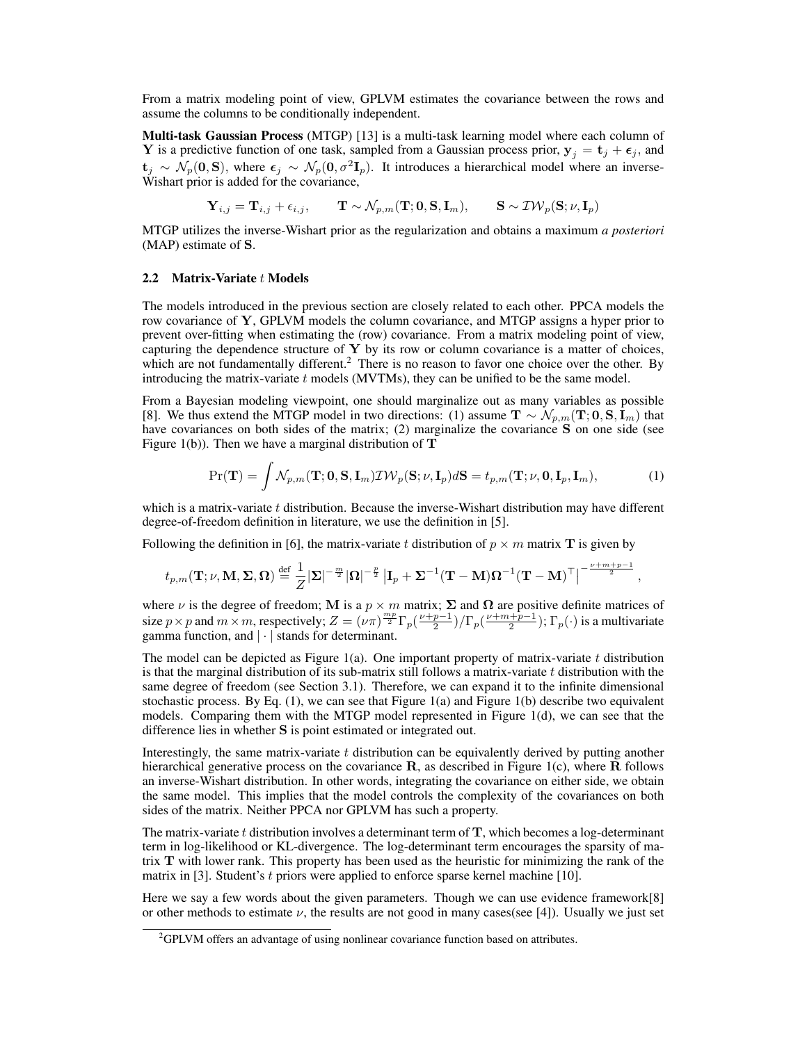From a matrix modeling point of view, GPLVM estimates the covariance between the rows and assume the columns to be conditionally independent.

Multi-task Gaussian Process (MTGP) [13] is a multi-task learning model where each column of Y is a predictive function of one task, sampled from a Gaussian process prior,  $y_j = t_j + \epsilon_j$ , and  $t_j \sim \mathcal{N}_p(0, S)$ , where  $\epsilon_j \sim \mathcal{N}_p(0, \sigma^2 I_p)$ . It introduces a hierarchical model where an inverse-Wishart prior is added for the covariance,

$$
\mathbf{Y}_{i,j} = \mathbf{T}_{i,j} + \epsilon_{i,j}, \qquad \mathbf{T} \sim \mathcal{N}_{p,m}(\mathbf{T}; \mathbf{0}, \mathbf{S}, \mathbf{I}_m), \qquad \mathbf{S} \sim \mathcal{IW}_p(\mathbf{S}; \nu, \mathbf{I}_p)
$$

MTGP utilizes the inverse-Wishart prior as the regularization and obtains a maximum *a posteriori* (MAP) estimate of S.

#### 2.2 Matrix-Variate  $t$  Models

The models introduced in the previous section are closely related to each other. PPCA models the row covariance of Y, GPLVM models the column covariance, and MTGP assigns a hyper prior to prevent over-fitting when estimating the (row) covariance. From a matrix modeling point of view, capturing the dependence structure of  $Y$  by its row or column covariance is a matter of choices, which are not fundamentally different.<sup>2</sup> There is no reason to favor one choice over the other. By introducing the matrix-variate  $t$  models (MVTMs), they can be unified to be the same model.

From a Bayesian modeling viewpoint, one should marginalize out as many variables as possible [8]. We thus extend the MTGP model in two directions: (1) assume  $\mathbf{T} \sim \mathcal{N}_{p,m}(\mathbf{T}; 0, \mathbf{S}, \mathbf{I}_m)$  that have covariances on both sides of the matrix; (2) marginalize the covariance S on one side (see Figure 1(b)). Then we have a marginal distribution of  $T$ 

$$
\Pr(\mathbf{T}) = \int \mathcal{N}_{p,m}(\mathbf{T}; \mathbf{0}, \mathbf{S}, \mathbf{I}_m) \mathcal{IW}_p(\mathbf{S}; \nu, \mathbf{I}_p) d\mathbf{S} = t_{p,m}(\mathbf{T}; \nu, \mathbf{0}, \mathbf{I}_p, \mathbf{I}_m),
$$
(1)

,

which is a matrix-variate  $t$  distribution. Because the inverse-Wishart distribution may have different degree-of-freedom definition in literature, we use the definition in [5].

Following the definition in [6], the matrix-variate t distribution of  $p \times m$  matrix **T** is given by

$$
t_{p,m}(\mathbf{T};\nu,\mathbf{M},\mathbf{\Sigma},\mathbf{\Omega})\stackrel{\text{def}}{=}\frac{1}{Z}|\mathbf{\Sigma}|^{-\frac{m}{2}}|\mathbf{\Omega}|^{-\frac{p}{2}}\left|\mathbf{I}_p+\mathbf{\Sigma}^{-1}(\mathbf{T}-\mathbf{M})\mathbf{\Omega}^{-1}(\mathbf{T}-\mathbf{M})^{\top}\right|^{-\frac{\nu+m+p-1}{2}}
$$

where  $\nu$  is the degree of freedom; M is a  $p \times m$  matrix;  $\Sigma$  and  $\Omega$  are positive definite matrices of size  $p \times p$  and  $m \times m$ , respectively;  $Z = (\nu \pi)^{\frac{mp}{2}} \Gamma_p(\frac{\nu+p-1}{2}) / \Gamma_p(\frac{\nu+m+p-1}{2})$ ;  $\Gamma_p(\cdot)$  is a multivariate gamma function, and  $|\cdot|$  stands for determinant.

The model can be depicted as Figure 1(a). One important property of matrix-variate  $t$  distribution is that the marginal distribution of its sub-matrix still follows a matrix-variate  $t$  distribution with the same degree of freedom (see Section 3.1). Therefore, we can expand it to the infinite dimensional stochastic process. By Eq.  $(1)$ , we can see that Figure 1 $(a)$  and Figure 1 $(b)$  describe two equivalent models. Comparing them with the MTGP model represented in Figure 1(d), we can see that the difference lies in whether S is point estimated or integrated out.

Interestingly, the same matrix-variate  $t$  distribution can be equivalently derived by putting another hierarchical generative process on the covariance  $\bf{R}$ , as described in Figure 1(c), where  $\bf{R}$  follows an inverse-Wishart distribution. In other words, integrating the covariance on either side, we obtain the same model. This implies that the model controls the complexity of the covariances on both sides of the matrix. Neither PPCA nor GPLVM has such a property.

The matrix-variate  $t$  distribution involves a determinant term of  $T$ , which becomes a log-determinant term in log-likelihood or KL-divergence. The log-determinant term encourages the sparsity of matrix T with lower rank. This property has been used as the heuristic for minimizing the rank of the matrix in [3]. Student's  $t$  priors were applied to enforce sparse kernel machine [10].

Here we say a few words about the given parameters. Though we can use evidence framework[8] or other methods to estimate  $\nu$ , the results are not good in many cases(see [4]). Usually we just set

<sup>&</sup>lt;sup>2</sup>GPLVM offers an advantage of using nonlinear covariance function based on attributes.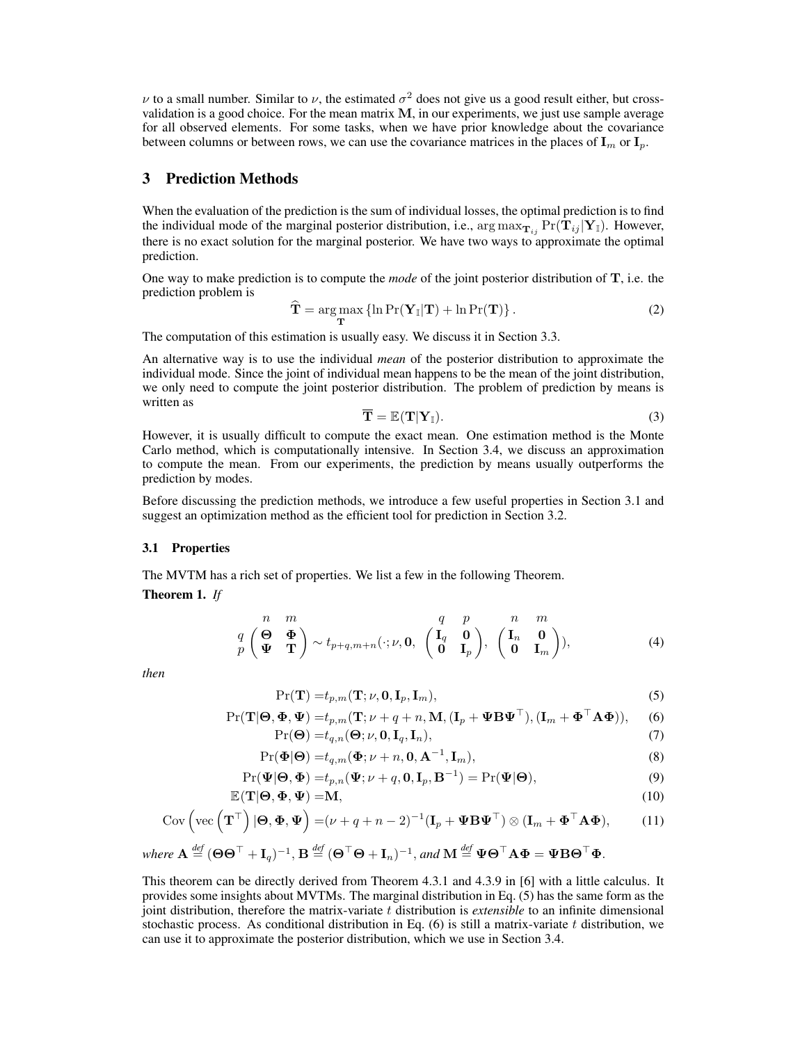$\nu$  to a small number. Similar to  $\nu$ , the estimated  $\sigma^2$  does not give us a good result either, but crossvalidation is a good choice. For the mean matrix M, in our experiments, we just use sample average for all observed elements. For some tasks, when we have prior knowledge about the covariance between columns or between rows, we can use the covariance matrices in the places of  $I_m$  or  $I_p$ .

# 3 Prediction Methods

When the evaluation of the prediction is the sum of individual losses, the optimal prediction is to find the individual mode of the marginal posterior distribution, i.e.,  $\arg \max_{\mathbf{T}_{ij}} \Pr(\mathbf{T}_{ij} | \mathbf{Y}_{\mathbb{I}})$ . However, there is no exact solution for the marginal posterior. We have two ways to approximate the optimal prediction.

One way to make prediction is to compute the *mode* of the joint posterior distribution of T, i.e. the prediction problem is

$$
\widehat{\mathbf{T}} = \underset{\mathbf{T}}{\arg \max} \left\{ \ln \Pr(\mathbf{Y}_{\mathbb{I}} | \mathbf{T}) + \ln \Pr(\mathbf{T}) \right\}.
$$
\n(2)

The computation of this estimation is usually easy. We discuss it in Section 3.3.

An alternative way is to use the individual *mean* of the posterior distribution to approximate the individual mode. Since the joint of individual mean happens to be the mean of the joint distribution, we only need to compute the joint posterior distribution. The problem of prediction by means is written as

$$
\overline{\mathbf{T}} = \mathbb{E}(\mathbf{T}|\mathbf{Y}_{\mathbb{I}}). \tag{3}
$$

However, it is usually difficult to compute the exact mean. One estimation method is the Monte Carlo method, which is computationally intensive. In Section 3.4, we discuss an approximation to compute the mean. From our experiments, the prediction by means usually outperforms the prediction by modes.

Before discussing the prediction methods, we introduce a few useful properties in Section 3.1 and suggest an optimization method as the efficient tool for prediction in Section 3.2.

#### 3.1 Properties

The MVTM has a rich set of properties. We list a few in the following Theorem.

Theorem 1. *If*

$$
\begin{array}{cc}\nn & m \\
q & \left(\frac{\Theta}{\Phi} \quad \frac{\Phi}{\Phi}\right) \sim t_{p+q,m+n}(\cdot; \nu, 0, \begin{pmatrix}I_q & 0 \\ 0 & I_p\end{pmatrix}, \begin{pmatrix}I_n & 0 \\ 0 & I_m\end{pmatrix}),\n\end{array} \tag{4}
$$

*then*

$$
\Pr(\mathbf{T}) = t_{p,m}(\mathbf{T}; \nu, \mathbf{0}, \mathbf{I}_p, \mathbf{I}_m),\tag{5}
$$

$$
Pr(\mathbf{T}|\mathbf{\Theta}, \mathbf{\Phi}, \mathbf{\Psi}) = t_{p,m}(\mathbf{T}; \nu + q + n, \mathbf{M}, (\mathbf{I}_p + \mathbf{\Psi} \mathbf{B} \mathbf{\Psi}^{\top}), (\mathbf{I}_m + \mathbf{\Phi}^{\top} \mathbf{A} \mathbf{\Phi})),
$$
(6)  

$$
Pr(\mathbf{\Theta}) = t_{q,n}(\mathbf{\Theta}; \nu, \mathbf{0}, \mathbf{I}_q, \mathbf{I}_p).
$$
(7)

$$
\mathbf{L}(\mathbf{C}) = c_{q,n}(\mathbf{C}, \nu, \mathbf{C}, \mathbf{q}, \mathbf{h}),\tag{1}
$$

$$
\Pr(\Phi|\Theta) = t_{q,m}(\Phi; \nu + n, \mathbf{0}, \mathbf{A}^{-1}, \mathbf{I}_m),
$$
\n(8)

$$
\Pr(\mathbf{\Psi}|\mathbf{\Theta},\mathbf{\Phi})=t_{p,n}(\mathbf{\Psi};\nu+q,\mathbf{0},\mathbf{I}_p,\mathbf{B}^{-1})=\Pr(\mathbf{\Psi}|\mathbf{\Theta}),\tag{9}
$$

$$
\mathbb{E}(\mathbf{T}|\Theta,\Phi,\Psi) = \mathbf{M},\tag{10}
$$
\n
$$
\mathbb{E}(\mathbf{T}|\Theta,\Phi,\Psi) = (\mathbf{M}|\mathbf{T}|\mathbf{T}|\mathbf{T}|\mathbf{T})\otimes (\mathbf{I}|\mathbf{T}|\mathbf{T}|\mathbf{T})\otimes (\mathbf{I}|\mathbf{T}|\mathbf{T}|\mathbf{T}|\mathbf{T})\tag{11}
$$

$$
Cov\left(\text{vec}\left(\mathbf{T}^{\top}\right)|\mathbf{\Theta},\mathbf{\Phi},\mathbf{\Psi}\right)=(\nu+q+n-2)^{-1}(\mathbf{I}_p+\mathbf{\Psi}\mathbf{B}\mathbf{\Psi}^{\top})\otimes(\mathbf{I}_m+\mathbf{\Phi}^{\top}\mathbf{A}\mathbf{\Phi}),\tag{11}
$$

where 
$$
\mathbf{A} \stackrel{\text{def}}{=} (\mathbf{\Theta} \mathbf{\Theta}^\top + \mathbf{I}_q)^{-1}
$$
,  $\mathbf{B} \stackrel{\text{def}}{=} (\mathbf{\Theta}^\top \mathbf{\Theta} + \mathbf{I}_n)^{-1}$ , and  $\mathbf{M} \stackrel{\text{def}}{=} \mathbf{\Psi} \mathbf{\Theta}^\top \mathbf{A} \mathbf{\Phi} = \mathbf{\Psi} \mathbf{B} \mathbf{\Theta}^\top \mathbf{\Phi}$ .

This theorem can be directly derived from Theorem 4.3.1 and 4.3.9 in [6] with a little calculus. It provides some insights about MVTMs. The marginal distribution in Eq. (5) has the same form as the joint distribution, therefore the matrix-variate t distribution is *extensible* to an infinite dimensional stochastic process. As conditional distribution in Eq.  $(6)$  is still a matrix-variate t distribution, we can use it to approximate the posterior distribution, which we use in Section 3.4.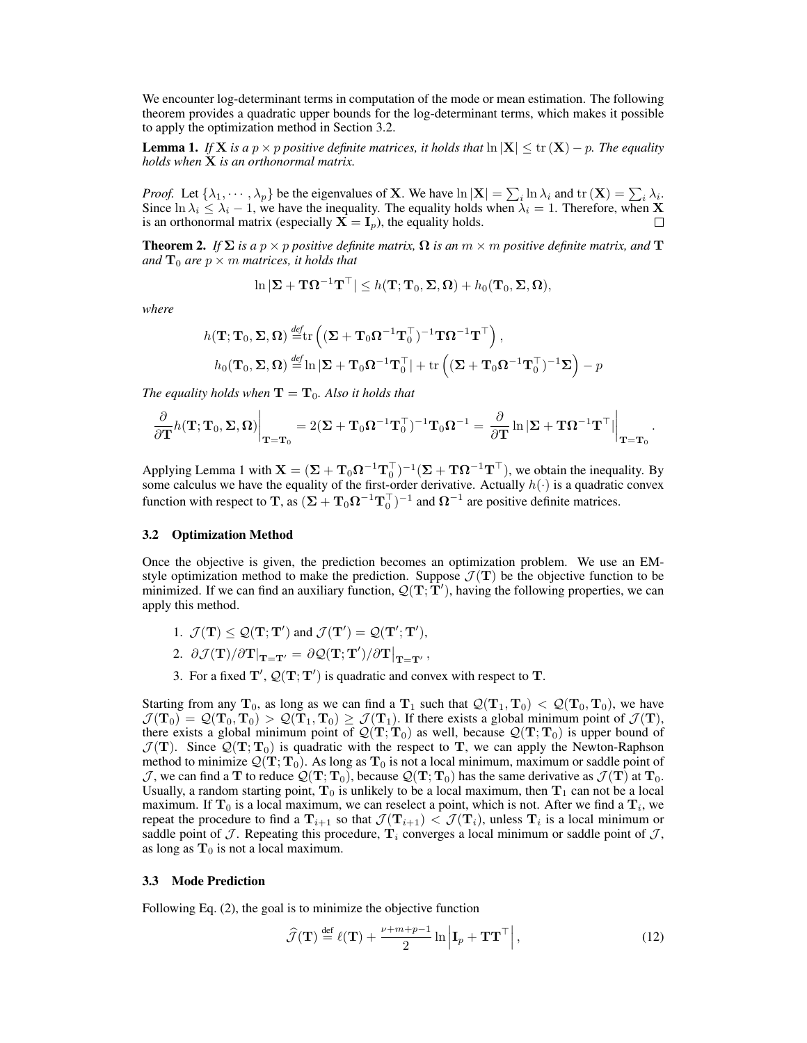We encounter log-determinant terms in computation of the mode or mean estimation. The following theorem provides a quadratic upper bounds for the log-determinant terms, which makes it possible to apply the optimization method in Section 3.2.

**Lemma 1.** *If* **X** *is a*  $p \times p$  *positive definite matrices, it holds that*  $\ln |\mathbf{X}| \leq \text{tr}(\mathbf{X}) - p$ *. The equality holds when* X *is an orthonormal matrix.*

*Proof.* Let  $\{\lambda_1, \dots, \lambda_p\}$  be the eigenvalues of **X**. We have  $\ln |\mathbf{X}| = \sum_i \ln \lambda_i$  and  $\text{tr}(\mathbf{X}) = \sum_i \lambda_i$ . Since  $\ln \lambda_i \leq \lambda_i - 1$ , we have the inequality. The equality holds when  $\lambda_i = 1$ . Therefore, when **X** is an orthonormal matrix (especially  $X = I_p$ ), the equality holds.

**Theorem 2.** *If*  $\Sigma$  *is a*  $p \times p$  *positive definite matrix,*  $\Omega$  *is an*  $m \times m$  *positive definite matrix, and*  $\mathbf{T}$ *and*  $\mathbf{T}_0$  *are*  $p \times m$  *matrices, it holds that* 

$$
\ln |\mathbf{\Sigma} + \mathbf{T}\mathbf{\Omega}^{-1}\mathbf{T}^{\top}| \leq h(\mathbf{T}; \mathbf{T}_0, \mathbf{\Sigma}, \mathbf{\Omega}) + h_0(\mathbf{T}_0, \mathbf{\Sigma}, \mathbf{\Omega}),
$$

*where*

$$
h(\mathbf{T}; \mathbf{T}_0, \Sigma, \Omega) \stackrel{\text{def}}{=} \text{tr}\left( (\Sigma + \mathbf{T}_0 \Omega^{-1} \mathbf{T}_0^\top)^{-1} \mathbf{T} \Omega^{-1} \mathbf{T}^\top \right),
$$
  
\n
$$
h_0(\mathbf{T}_0, \Sigma, \Omega) \stackrel{\text{def}}{=} \ln |\Sigma + \mathbf{T}_0 \Omega^{-1} \mathbf{T}_0^\top| + \text{tr}\left( (\Sigma + \mathbf{T}_0 \Omega^{-1} \mathbf{T}_0^\top)^{-1} \Sigma \right) - p
$$

*The equality holds when*  $\mathbf{T} = \mathbf{T}_0$ *. Also it holds that* 

$$
\frac{\partial}{\partial \mathbf{T}} h(\mathbf{T}; \mathbf{T}_0, \mathbf{\Sigma}, \mathbf{\Omega}) \bigg|_{\mathbf{T} = \mathbf{T}_0} = 2(\mathbf{\Sigma} + \mathbf{T}_0 \mathbf{\Omega}^{-1} \mathbf{T}_0^{\top})^{-1} \mathbf{T}_0 \mathbf{\Omega}^{-1} = \left. \frac{\partial}{\partial \mathbf{T}} \ln |\mathbf{\Sigma} + \mathbf{T} \mathbf{\Omega}^{-1} \mathbf{T}^{\top}| \right|_{\mathbf{T} = \mathbf{T}_0}.
$$

Applying Lemma 1 with  $X = (\Sigma + T_0 \Omega^{-1} T_0^{\top})^{-1} (\Sigma + T \Omega^{-1} T^{\top})$ , we obtain the inequality. By some calculus we have the equality of the first-order derivative. Actually  $h(\cdot)$  is a quadratic convex function with respect to **T**, as  $(\Sigma + \mathbf{T}_0 \Omega^{-1} \mathbf{T}_0^\top)^{-1}$  and  $\Omega^{-1}$  are positive definite matrices.

#### 3.2 Optimization Method

Once the objective is given, the prediction becomes an optimization problem. We use an EMstyle optimization method to make the prediction. Suppose  $\mathcal{J}(\mathbf{T})$  be the objective function to be minimized. If we can find an auxiliary function,  $Q(T, T')$ , having the following properties, we can apply this method.

- 1.  $\mathcal{J}(\mathbf{T}) \leq \mathcal{Q}(\mathbf{T}; \mathbf{T}')$  and  $\mathcal{J}(\mathbf{T}') = \mathcal{Q}(\mathbf{T}'; \mathbf{T}'),$
- 2.  $\partial \mathcal{J}(\mathbf{T})/\partial \mathbf{T}\vert_{\mathbf{T}=\mathbf{T}'} = \partial \mathcal{Q}(\mathbf{T}; \mathbf{T}')/\partial \mathbf{T}\vert_{\mathbf{T}=\mathbf{T}'},$
- 3. For a fixed  $T'$ ,  $\mathcal{Q}(T; T')$  is quadratic and convex with respect to T.

Starting from any  $T_0$ , as long as we can find a  $T_1$  such that  $\mathcal{Q}(T_1, T_0) < \mathcal{Q}(T_0, T_0)$ , we have  $\mathcal{J}(\mathbf{T}_0) = \mathcal{Q}(\mathbf{T}_0, \mathbf{T}_0) > \mathcal{Q}(\mathbf{T}_1, \mathbf{T}_0) \ge \mathcal{J}(\mathbf{T}_1)$ . If there exists a global minimum point of  $\mathcal{J}(\mathbf{T})$ , there exists a global minimum point of  $\mathcal{Q}(\mathbf{T}; \mathbf{T}_0)$  as well, because  $\mathcal{Q}(\mathbf{T}; \mathbf{T}_0)$  is upper bound of  $\mathcal{J}(\mathbf{T})$ . Since  $\mathcal{Q}(\mathbf{T}; \mathbf{T}_0)$  is quadratic with the respect to T, we can apply the Newton-Raphson method to minimize  $\mathcal{Q}(\mathbf{T}; \mathbf{T}_0)$ . As long as  $\mathbf{T}_0$  is not a local minimum, maximum or saddle point of  $\mathcal{J}$ , we can find a T to reduce  $\mathcal{Q}(T; T_0)$ , because  $\mathcal{Q}(T; T_0)$  has the same derivative as  $\mathcal{J}(T)$  at  $T_0$ . Usually, a random starting point,  $T_0$  is unlikely to be a local maximum, then  $T_1$  can not be a local maximum. If  $T_0$  is a local maximum, we can reselect a point, which is not. After we find a  $T_i$ , we repeat the procedure to find a  $T_{i+1}$  so that  $\mathcal{J}(T_{i+1}) < \mathcal{J}(T_i)$ , unless  $T_i$  is a local minimum or saddle point of  $\mathcal J$ . Repeating this procedure,  $\mathbf T_i$  converges a local minimum or saddle point of  $\mathcal J$ , as long as  $T_0$  is not a local maximum.

#### 3.3 Mode Prediction

Following Eq. (2), the goal is to minimize the objective function

$$
\widehat{\mathcal{J}}(\mathbf{T}) \stackrel{\text{def}}{=} \ell(\mathbf{T}) + \frac{\nu + m + p - 1}{2} \ln \left| \mathbf{I}_p + \mathbf{T} \mathbf{T}^\top \right|,\tag{12}
$$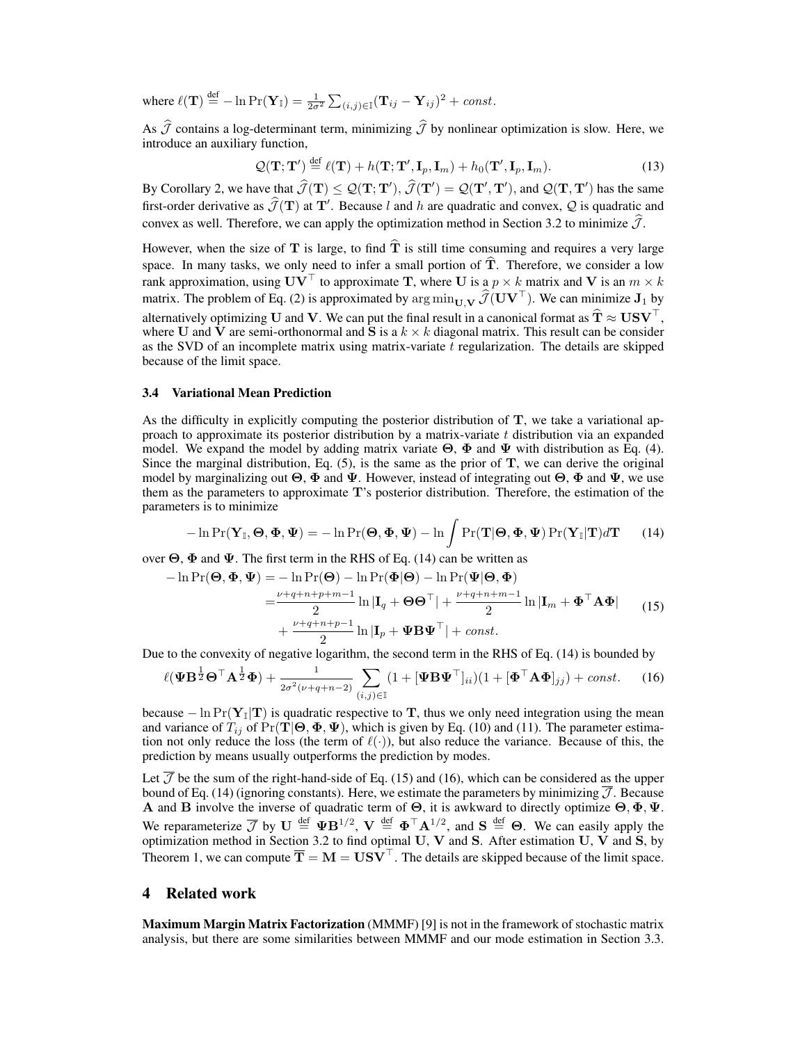where  $\ell(\mathbf{T}) \stackrel{\text{def}}{=} -\ln \Pr(\mathbf{Y}_{\mathbb{I}}) = \frac{1}{2\sigma^2} \sum_{(i,j) \in \mathbb{I}} (\mathbf{T}_{ij} - \mathbf{Y}_{ij})^2 + const.$ 

As  $\widehat{\mathcal{J}}$  contains a log-determinant term, minimizing  $\widehat{\mathcal{J}}$  by nonlinear optimization is slow. Here, we introduce an auxiliary function,

$$
\mathcal{Q}(\mathbf{T}; \mathbf{T}') \stackrel{\text{def}}{=} \ell(\mathbf{T}) + h(\mathbf{T}; \mathbf{T}', \mathbf{I}_p, \mathbf{I}_m) + h_0(\mathbf{T}', \mathbf{I}_p, \mathbf{I}_m). \tag{13}
$$

By Corollary 2, we have that  $\widehat{\mathcal{J}}(\mathbf{T}) \leq \mathcal{Q}(\mathbf{T}; \mathbf{T}'), \widehat{\mathcal{J}}(\mathbf{T}') = \mathcal{Q}(\mathbf{T}', \mathbf{T}'),$  and  $\mathcal{Q}(\mathbf{T}, \mathbf{T}')$  has the same first-order derivative as  $\hat{J}(\mathbf{T})$  at  $\mathbf{T}'$ . Because l and h are quadratic and convex, Q is quadratic and convex as well. Therefore, we can apply the optimization method in Section 3.2 to minimize  $\hat{J}$ .

However, when the size of T is large, to find  $\hat{T}$  is still time consuming and requires a very large space. In many tasks, we only need to infer a small portion of  $\hat{T}$ . Therefore, we consider a low rank approximation, using  $\mathbf{U}\mathbf{V}^{\top}$  to approximate T, where U is a  $p \times k$  matrix and V is an  $m \times k$ matrix. The problem of Eq. (2) is approximated by  $\arg \min_{U} \mathbf{v} \hat{J}(\mathbf{U} \mathbf{V}^{\top})$ . We can minimize  $\mathbf{J}_1$  by alternatively optimizing U and V. We can put the final result in a canonical format as  $\hat{T} \approx USV^{\top}$ , where U and V are semi-orthonormal and S is a  $k \times k$  diagonal matrix. This result can be consider as the SVD of an incomplete matrix using matrix-variate  $t$  regularization. The details are skipped because of the limit space.

#### 3.4 Variational Mean Prediction

As the difficulty in explicitly computing the posterior distribution of T, we take a variational approach to approximate its posterior distribution by a matrix-variate  $t$  distribution via an expanded model. We expand the model by adding matrix variate  $\Theta$ ,  $\Phi$  and  $\Psi$  with distribution as Eq. (4). Since the marginal distribution, Eq.  $(5)$ , is the same as the prior of T, we can derive the original model by marginalizing out  $\Theta$ ,  $\Phi$  and  $\Psi$ . However, instead of integrating out  $\Theta$ ,  $\Phi$  and  $\Psi$ , we use them as the parameters to approximate T's posterior distribution. Therefore, the estimation of the parameters is to minimize

$$
-\ln \Pr(\mathbf{Y}_{\mathbb{I}}, \boldsymbol{\Theta}, \boldsymbol{\Phi}, \boldsymbol{\Psi}) = -\ln \Pr(\boldsymbol{\Theta}, \boldsymbol{\Phi}, \boldsymbol{\Psi}) - \ln \int \Pr(\mathbf{T}|\boldsymbol{\Theta}, \boldsymbol{\Phi}, \boldsymbol{\Psi}) \Pr(\mathbf{Y}_{\mathbb{I}}|\mathbf{T}) d\mathbf{T} \qquad (14)
$$

over  $\Theta$ ,  $\Phi$  and  $\Psi$ . The first term in the RHS of Eq. (14) can be written as

$$
-\ln \Pr(\mathbf{\Theta}, \mathbf{\Phi}, \mathbf{\Psi}) = -\ln \Pr(\mathbf{\Theta}) - \ln \Pr(\mathbf{\Phi}|\mathbf{\Theta}) - \ln \Pr(\mathbf{\Psi}|\mathbf{\Theta}, \mathbf{\Phi})
$$
  
= 
$$
\frac{\nu + q + n + p + m - 1}{2} \ln |\mathbf{I}_q + \mathbf{\Theta}\mathbf{\Theta}^\top| + \frac{\nu + q + n + m - 1}{2} \ln |\mathbf{I}_m + \mathbf{\Phi}^\top \mathbf{A} \mathbf{\Phi}|
$$
(15)  
+ 
$$
\frac{\nu + q + n + p - 1}{2} \ln |\mathbf{I}_p + \mathbf{\Psi} \mathbf{B} \mathbf{\Psi}^\top| + const.
$$

Due to the convexity of negative logarithm, the second term in the RHS of Eq. (14) is bounded by

$$
\ell(\boldsymbol{\Psi}\mathbf{B}^{\frac{1}{2}}\boldsymbol{\Theta}^{\top}\mathbf{A}^{\frac{1}{2}}\boldsymbol{\Phi}) + \frac{1}{2\sigma^2(\nu+q+n-2)}\sum_{(i,j)\in\mathbb{I}}(1+[\boldsymbol{\Psi}\mathbf{B}\boldsymbol{\Psi}^{\top}]_{ii})(1+[\boldsymbol{\Phi}^{\top}\mathbf{A}\boldsymbol{\Phi}]_{jj}) + const.
$$
 (16)

because  $-\ln \Pr(Y_I|\mathbf{T})$  is quadratic respective to T, thus we only need integration using the mean and variance of  $T_{ij}$  of  $Pr(T|\Theta, \Phi, \Psi)$ , which is given by Eq. (10) and (11). The parameter estimation not only reduce the loss (the term of  $\ell(\cdot)$ ), but also reduce the variance. Because of this, the prediction by means usually outperforms the prediction by modes.

Let  $\mathcal I$  be the sum of the right-hand-side of Eq. (15) and (16), which can be considered as the upper bound of Eq. (14) (ignoring constants). Here, we estimate the parameters by minimizing  $\overline{\mathcal{J}}$ . Because A and B involve the inverse of quadratic term of  $\Theta$ , it is awkward to directly optimize  $\Theta$ ,  $\Phi$ ,  $\Psi$ . We reparameterize  $\overline{\mathcal{J}}$  by  $\mathbf{U} \stackrel{\text{def}}{=} \Psi \mathbf{B}^{1/2}$ ,  $\mathbf{V} \stackrel{\text{def}}{=} \Phi^\top \mathbf{A}^{1/2}$ , and  $\mathbf{S} \stackrel{\text{def}}{=} \Theta$ . We can easily apply the optimization method in Section 3.2 to find optimal  $U$ ,  $V$  and  $S$ . After estimation  $U$ ,  $V$  and  $S$ , by Theorem 1, we can compute  $\overline{T} = M = USV^{\top}$ . The details are skipped because of the limit space.

# 4 Related work

Maximum Margin Matrix Factorization (MMMF) [9] is not in the framework of stochastic matrix analysis, but there are some similarities between MMMF and our mode estimation in Section 3.3.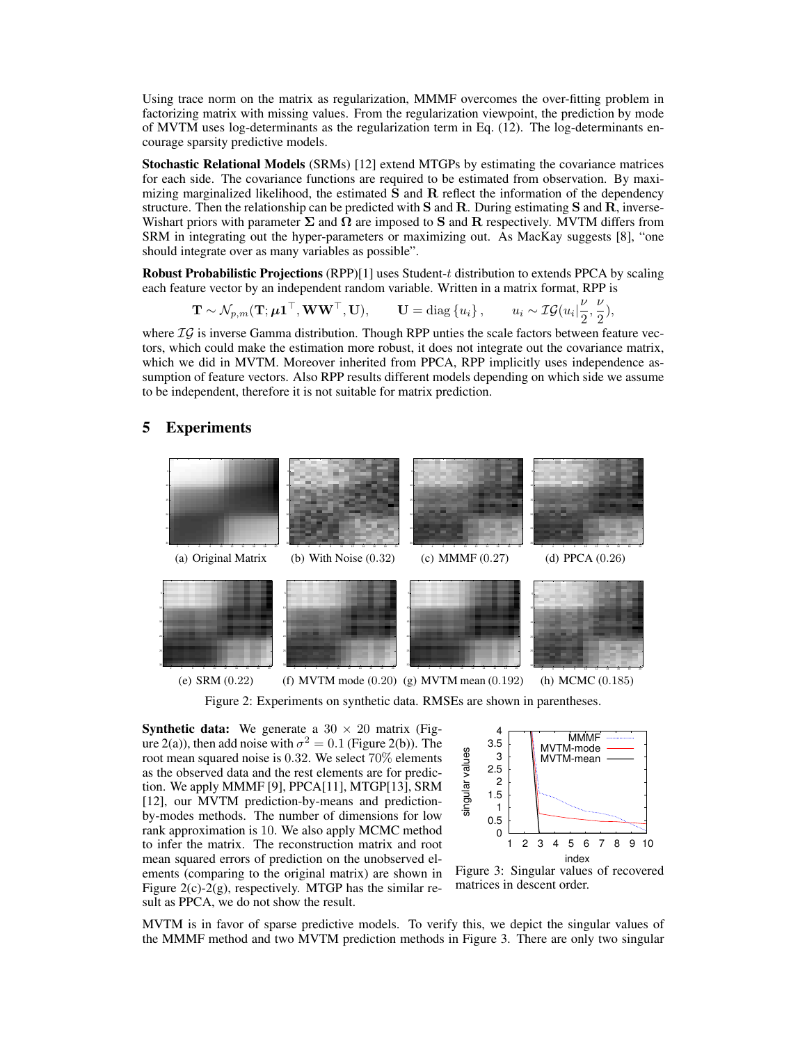Using trace norm on the matrix as regularization, MMMF overcomes the over-fitting problem in factorizing matrix with missing values. From the regularization viewpoint, the prediction by mode of MVTM uses log-determinants as the regularization term in Eq. (12). The log-determinants encourage sparsity predictive models.

Stochastic Relational Models (SRMs) [12] extend MTGPs by estimating the covariance matrices for each side. The covariance functions are required to be estimated from observation. By maximizing marginalized likelihood, the estimated  $S$  and  $R$  reflect the information of the dependency structure. Then the relationship can be predicted with  $S$  and  $R$ . During estimating  $S$  and  $R$ , inverse-Wishart priors with parameter  $\Sigma$  and  $\Omega$  are imposed to S and R respectively. MVTM differs from SRM in integrating out the hyper-parameters or maximizing out. As MacKay suggests [8], "one should integrate over as many variables as possible".

Robust Probabilistic Projections (RPP)[1] uses Student-t distribution to extends PPCA by scaling each feature vector by an independent random variable. Written in a matrix format, RPP is

$$
\mathbf{T} \sim \mathcal{N}_{p,m}(\mathbf{T}; \boldsymbol{\mu} \mathbf{1}^\top, \mathbf{W} \mathbf{W}^\top, \mathbf{U}), \qquad \mathbf{U} = \text{diag}\left\{u_i\right\}, \qquad u_i \sim \mathcal{IG}(u_i | \frac{\nu}{2}, \frac{\nu}{2}),
$$

where  $\mathcal{IG}$  is inverse Gamma distribution. Though RPP unties the scale factors between feature vectors, which could make the estimation more robust, it does not integrate out the covariance matrix, which we did in MVTM. Moreover inherited from PPCA, RPP implicitly uses independence assumption of feature vectors. Also RPP results different models depending on which side we assume to be independent, therefore it is not suitable for matrix prediction.

# 5 Experiments



Figure 2: Experiments on synthetic data. RMSEs are shown in parentheses.

**Synthetic data:** We generate a  $30 \times 20$  matrix (Figure 2(a)), then add noise with  $\sigma^2 = 0.1$  (Figure 2(b)). The root mean squared noise is 0.32. We select 70% elements as the observed data and the rest elements are for prediction. We apply MMMF [9], PPCA[11], MTGP[13], SRM [12], our MVTM prediction-by-means and predictionby-modes methods. The number of dimensions for low rank approximation is 10. We also apply MCMC method to infer the matrix. The reconstruction matrix and root mean squared errors of prediction on the unobserved elements (comparing to the original matrix) are shown in Figure  $2(c) - 2(g)$ , respectively. MTGP has the similar result as PPCA, we do not show the result.



Figure 3: Singular values of recovered matrices in descent order.

MVTM is in favor of sparse predictive models. To verify this, we depict the singular values of the MMMF method and two MVTM prediction methods in Figure 3. There are only two singular